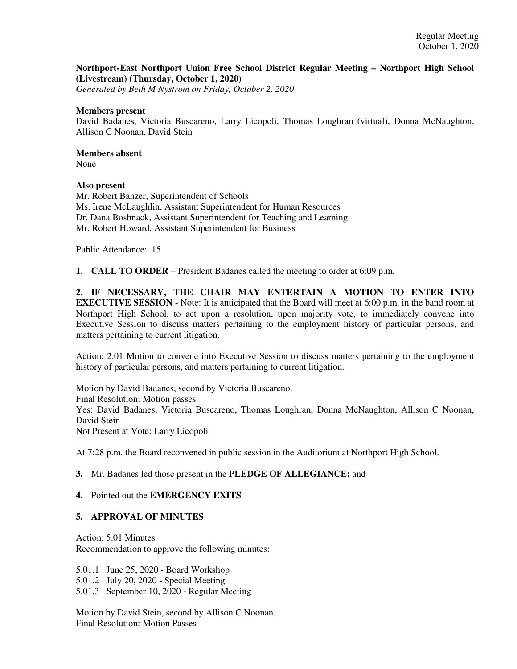## **Northport-East Northport Union Free School District Regular Meeting – Northport High School (Livestream) (Thursday, October 1, 2020)**

*Generated by Beth M Nystrom on Friday, October 2, 2020*

#### **Members present**

David Badanes, Victoria Buscareno, Larry Licopoli, Thomas Loughran (virtual), Donna McNaughton, Allison C Noonan, David Stein

# **Members absent**

None

## **Also present**

Mr. Robert Banzer, Superintendent of Schools Ms. Irene McLaughlin, Assistant Superintendent for Human Resources Dr. Dana Boshnack, Assistant Superintendent for Teaching and Learning Mr. Robert Howard, Assistant Superintendent for Business

Public Attendance: 15

**1. CALL TO ORDER** – President Badanes called the meeting to order at 6:09 p.m.

**2. IF NECESSARY, THE CHAIR MAY ENTERTAIN A MOTION TO ENTER INTO EXECUTIVE SESSION** - Note: It is anticipated that the Board will meet at 6:00 p.m. in the band room at Northport High School, to act upon a resolution, upon majority vote, to immediately convene into Executive Session to discuss matters pertaining to the employment history of particular persons, and matters pertaining to current litigation.

Action: 2.01 Motion to convene into Executive Session to discuss matters pertaining to the employment history of particular persons, and matters pertaining to current litigation.

Motion by David Badanes, second by Victoria Buscareno. Final Resolution: Motion passes Yes: David Badanes, Victoria Buscareno, Thomas Loughran, Donna McNaughton, Allison C Noonan, David Stein Not Present at Vote: Larry Licopoli

At 7:28 p.m. the Board reconvened in public session in the Auditorium at Northport High School.

### **3.** Mr. Badanes led those present in the **PLEDGE OF ALLEGIANCE;** and

#### **4.** Pointed out the **EMERGENCY EXITS**

### **5. APPROVAL OF MINUTES**

Action: 5.01 Minutes Recommendation to approve the following minutes:

5.01.1 June 25, 2020 - Board Workshop 5.01.2 July 20, 2020 - Special Meeting 5.01.3 September 10, 2020 - Regular Meeting

Motion by David Stein, second by Allison C Noonan. Final Resolution: Motion Passes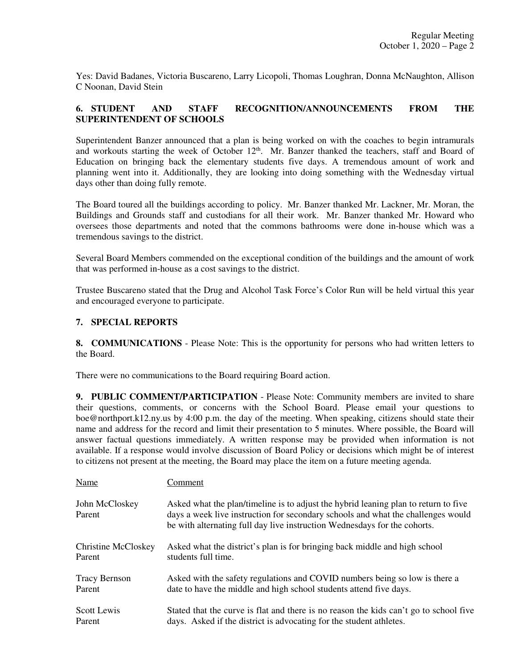Yes: David Badanes, Victoria Buscareno, Larry Licopoli, Thomas Loughran, Donna McNaughton, Allison C Noonan, David Stein

## **6. STUDENT AND STAFF RECOGNITION/ANNOUNCEMENTS FROM THE SUPERINTENDENT OF SCHOOLS**

Superintendent Banzer announced that a plan is being worked on with the coaches to begin intramurals and workouts starting the week of October  $12<sup>th</sup>$ . Mr. Banzer thanked the teachers, staff and Board of Education on bringing back the elementary students five days. A tremendous amount of work and planning went into it. Additionally, they are looking into doing something with the Wednesday virtual days other than doing fully remote.

The Board toured all the buildings according to policy. Mr. Banzer thanked Mr. Lackner, Mr. Moran, the Buildings and Grounds staff and custodians for all their work. Mr. Banzer thanked Mr. Howard who oversees those departments and noted that the commons bathrooms were done in-house which was a tremendous savings to the district.

Several Board Members commended on the exceptional condition of the buildings and the amount of work that was performed in-house as a cost savings to the district.

Trustee Buscareno stated that the Drug and Alcohol Task Force's Color Run will be held virtual this year and encouraged everyone to participate.

## **7. SPECIAL REPORTS**

**8. COMMUNICATIONS** - Please Note: This is the opportunity for persons who had written letters to the Board.

There were no communications to the Board requiring Board action.

**9. PUBLIC COMMENT/PARTICIPATION** - Please Note: Community members are invited to share their questions, comments, or concerns with the School Board. Please email your questions to boe@northport.k12.ny.us by 4:00 p.m. the day of the meeting. When speaking, citizens should state their name and address for the record and limit their presentation to 5 minutes. Where possible, the Board will answer factual questions immediately. A written response may be provided when information is not available. If a response would involve discussion of Board Policy or decisions which might be of interest to citizens not present at the meeting, the Board may place the item on a future meeting agenda.

| Name                       | Comment                                                                                                                                                                                                                                              |
|----------------------------|------------------------------------------------------------------------------------------------------------------------------------------------------------------------------------------------------------------------------------------------------|
| John McCloskey<br>Parent   | Asked what the plan/timeline is to adjust the hybrid leaning plan to return to five<br>days a week live instruction for secondary schools and what the challenges would<br>be with alternating full day live instruction Wednesdays for the cohorts. |
| <b>Christine McCloskey</b> | Asked what the district's plan is for bringing back middle and high school                                                                                                                                                                           |
| Parent                     | students full time.                                                                                                                                                                                                                                  |
| <b>Tracy Bernson</b>       | Asked with the safety regulations and COVID numbers being so low is there a                                                                                                                                                                          |
| Parent                     | date to have the middle and high school students attend five days.                                                                                                                                                                                   |
| Scott Lewis                | Stated that the curve is flat and there is no reason the kids can't go to school five                                                                                                                                                                |
| Parent                     | days. Asked if the district is advocating for the student athletes.                                                                                                                                                                                  |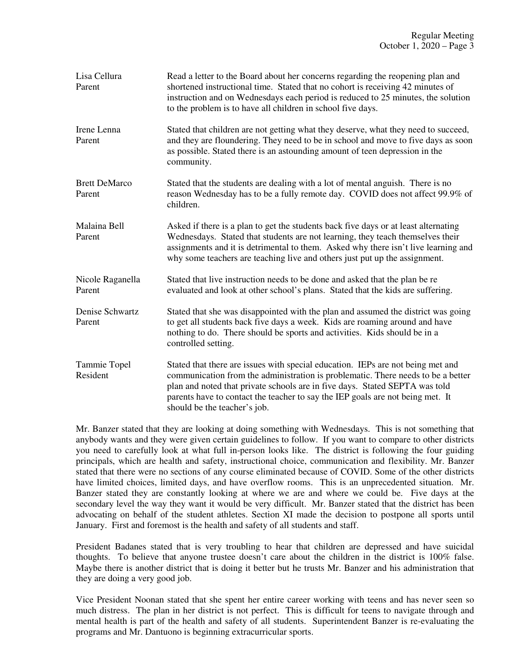| Lisa Cellura<br>Parent         | Read a letter to the Board about her concerns regarding the reopening plan and<br>shortened instructional time. Stated that no cohort is receiving 42 minutes of<br>instruction and on Wednesdays each period is reduced to 25 minutes, the solution<br>to the problem is to have all children in school five days.                                                  |
|--------------------------------|----------------------------------------------------------------------------------------------------------------------------------------------------------------------------------------------------------------------------------------------------------------------------------------------------------------------------------------------------------------------|
| Irene Lenna<br>Parent          | Stated that children are not getting what they deserve, what they need to succeed,<br>and they are floundering. They need to be in school and move to five days as soon<br>as possible. Stated there is an astounding amount of teen depression in the<br>community.                                                                                                 |
| <b>Brett DeMarco</b><br>Parent | Stated that the students are dealing with a lot of mental anguish. There is no<br>reason Wednesday has to be a fully remote day. COVID does not affect 99.9% of<br>children.                                                                                                                                                                                         |
| Malaina Bell<br>Parent         | Asked if there is a plan to get the students back five days or at least alternating<br>Wednesdays. Stated that students are not learning, they teach themselves their<br>assignments and it is detrimental to them. Asked why there isn't live learning and<br>why some teachers are teaching live and others just put up the assignment.                            |
| Nicole Raganella<br>Parent     | Stated that live instruction needs to be done and asked that the plan be re<br>evaluated and look at other school's plans. Stated that the kids are suffering.                                                                                                                                                                                                       |
| Denise Schwartz<br>Parent      | Stated that she was disappointed with the plan and assumed the district was going<br>to get all students back five days a week. Kids are roaming around and have<br>nothing to do. There should be sports and activities. Kids should be in a<br>controlled setting.                                                                                                 |
| Tammie Topel<br>Resident       | Stated that there are issues with special education. IEPs are not being met and<br>communication from the administration is problematic. There needs to be a better<br>plan and noted that private schools are in five days. Stated SEPTA was told<br>parents have to contact the teacher to say the IEP goals are not being met. It<br>should be the teacher's job. |

Mr. Banzer stated that they are looking at doing something with Wednesdays. This is not something that anybody wants and they were given certain guidelines to follow. If you want to compare to other districts you need to carefully look at what full in-person looks like. The district is following the four guiding principals, which are health and safety, instructional choice, communication and flexibility. Mr. Banzer stated that there were no sections of any course eliminated because of COVID. Some of the other districts have limited choices, limited days, and have overflow rooms. This is an unprecedented situation. Mr. Banzer stated they are constantly looking at where we are and where we could be. Five days at the secondary level the way they want it would be very difficult. Mr. Banzer stated that the district has been advocating on behalf of the student athletes. Section XI made the decision to postpone all sports until January. First and foremost is the health and safety of all students and staff.

President Badanes stated that is very troubling to hear that children are depressed and have suicidal thoughts. To believe that anyone trustee doesn't care about the children in the district is 100% false. Maybe there is another district that is doing it better but he trusts Mr. Banzer and his administration that they are doing a very good job.

Vice President Noonan stated that she spent her entire career working with teens and has never seen so much distress. The plan in her district is not perfect. This is difficult for teens to navigate through and mental health is part of the health and safety of all students. Superintendent Banzer is re-evaluating the programs and Mr. Dantuono is beginning extracurricular sports.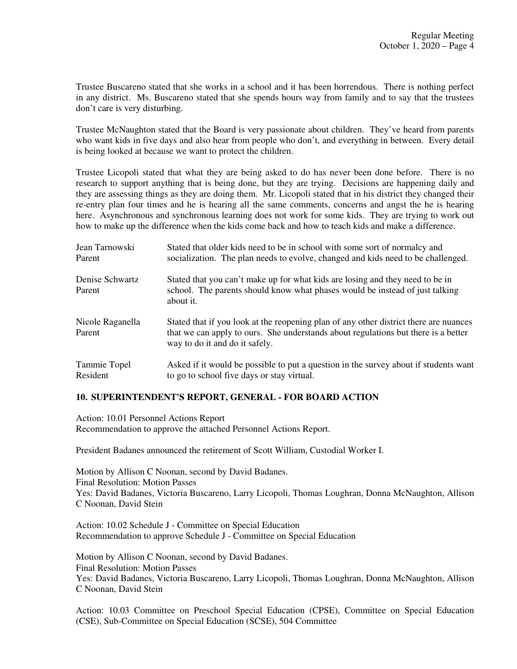Trustee Buscareno stated that she works in a school and it has been horrendous. There is nothing perfect in any district. Ms. Buscareno stated that she spends hours way from family and to say that the trustees don't care is very disturbing.

Trustee McNaughton stated that the Board is very passionate about children. They've heard from parents who want kids in five days and also hear from people who don't, and everything in between. Every detail is being looked at because we want to protect the children.

Trustee Licopoli stated that what they are being asked to do has never been done before. There is no research to support anything that is being done, but they are trying. Decisions are happening daily and they are assessing things as they are doing them. Mr. Licopoli stated that in his district they changed their re-entry plan four times and he is hearing all the same comments, concerns and angst the he is hearing here. Asynchronous and synchronous learning does not work for some kids. They are trying to work out how to make up the difference when the kids come back and how to teach kids and make a difference.

| Jean Tarnowski             | Stated that older kids need to be in school with some sort of normalcy and                                                                                                                                    |
|----------------------------|---------------------------------------------------------------------------------------------------------------------------------------------------------------------------------------------------------------|
| Parent                     | socialization. The plan needs to evolve, changed and kids need to be challenged.                                                                                                                              |
| Denise Schwartz<br>Parent  | Stated that you can't make up for what kids are losing and they need to be in<br>school. The parents should know what phases would be instead of just talking<br>about it.                                    |
| Nicole Raganella<br>Parent | Stated that if you look at the reopening plan of any other district there are nuances<br>that we can apply to ours. She understands about regulations but there is a better<br>way to do it and do it safely. |
| Tammie Topel               | Asked if it would be possible to put a question in the survey about if students want                                                                                                                          |
| Resident                   | to go to school five days or stay virtual.                                                                                                                                                                    |

## **10. SUPERINTENDENT'S REPORT, GENERAL - FOR BOARD ACTION**

Action: 10.01 Personnel Actions Report Recommendation to approve the attached Personnel Actions Report.

President Badanes announced the retirement of Scott William, Custodial Worker I.

Motion by Allison C Noonan, second by David Badanes. Final Resolution: Motion Passes Yes: David Badanes, Victoria Buscareno, Larry Licopoli, Thomas Loughran, Donna McNaughton, Allison C Noonan, David Stein

Action: 10.02 Schedule J - Committee on Special Education Recommendation to approve Schedule J - Committee on Special Education

Motion by Allison C Noonan, second by David Badanes. Final Resolution: Motion Passes Yes: David Badanes, Victoria Buscareno, Larry Licopoli, Thomas Loughran, Donna McNaughton, Allison C Noonan, David Stein

Action: 10.03 Committee on Preschool Special Education (CPSE), Committee on Special Education (CSE), Sub-Committee on Special Education (SCSE), 504 Committee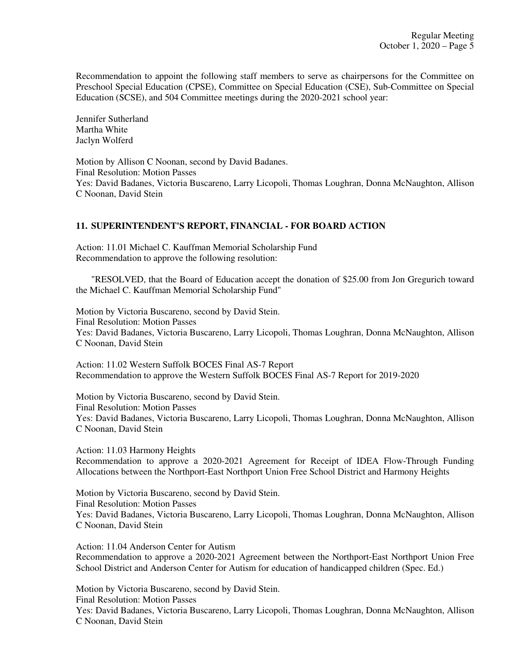Recommendation to appoint the following staff members to serve as chairpersons for the Committee on Preschool Special Education (CPSE), Committee on Special Education (CSE), Sub-Committee on Special Education (SCSE), and 504 Committee meetings during the 2020-2021 school year:

Jennifer Sutherland Martha White Jaclyn Wolferd

Motion by Allison C Noonan, second by David Badanes. Final Resolution: Motion Passes Yes: David Badanes, Victoria Buscareno, Larry Licopoli, Thomas Loughran, Donna McNaughton, Allison C Noonan, David Stein

## **11. SUPERINTENDENT'S REPORT, FINANCIAL - FOR BOARD ACTION**

Action: 11.01 Michael C. Kauffman Memorial Scholarship Fund Recommendation to approve the following resolution:

 "RESOLVED, that the Board of Education accept the donation of \$25.00 from Jon Gregurich toward the Michael C. Kauffman Memorial Scholarship Fund"

Motion by Victoria Buscareno, second by David Stein. Final Resolution: Motion Passes Yes: David Badanes, Victoria Buscareno, Larry Licopoli, Thomas Loughran, Donna McNaughton, Allison C Noonan, David Stein

Action: 11.02 Western Suffolk BOCES Final AS-7 Report Recommendation to approve the Western Suffolk BOCES Final AS-7 Report for 2019-2020

Motion by Victoria Buscareno, second by David Stein. Final Resolution: Motion Passes Yes: David Badanes, Victoria Buscareno, Larry Licopoli, Thomas Loughran, Donna McNaughton, Allison C Noonan, David Stein

Action: 11.03 Harmony Heights Recommendation to approve a 2020-2021 Agreement for Receipt of IDEA Flow-Through Funding Allocations between the Northport-East Northport Union Free School District and Harmony Heights

Motion by Victoria Buscareno, second by David Stein. Final Resolution: Motion Passes Yes: David Badanes, Victoria Buscareno, Larry Licopoli, Thomas Loughran, Donna McNaughton, Allison C Noonan, David Stein

Action: 11.04 Anderson Center for Autism Recommendation to approve a 2020-2021 Agreement between the Northport-East Northport Union Free School District and Anderson Center for Autism for education of handicapped children (Spec. Ed.)

Motion by Victoria Buscareno, second by David Stein. Final Resolution: Motion Passes Yes: David Badanes, Victoria Buscareno, Larry Licopoli, Thomas Loughran, Donna McNaughton, Allison C Noonan, David Stein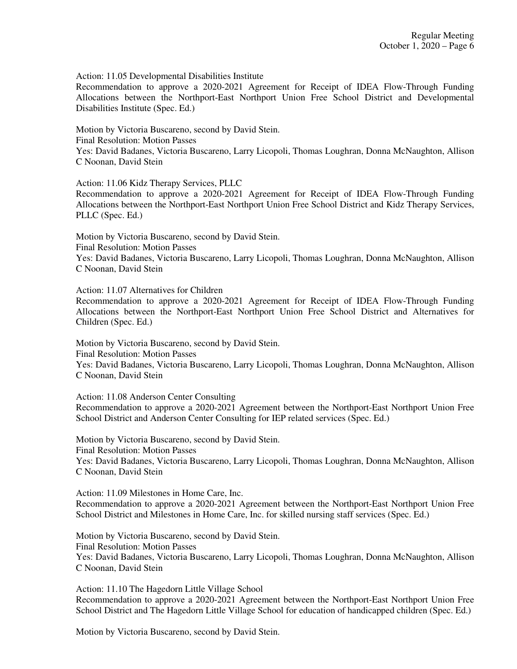Action: 11.05 Developmental Disabilities Institute

Recommendation to approve a 2020-2021 Agreement for Receipt of IDEA Flow-Through Funding Allocations between the Northport-East Northport Union Free School District and Developmental Disabilities Institute (Spec. Ed.)

Motion by Victoria Buscareno, second by David Stein. Final Resolution: Motion Passes Yes: David Badanes, Victoria Buscareno, Larry Licopoli, Thomas Loughran, Donna McNaughton, Allison C Noonan, David Stein

Action: 11.06 Kidz Therapy Services, PLLC

Recommendation to approve a 2020-2021 Agreement for Receipt of IDEA Flow-Through Funding Allocations between the Northport-East Northport Union Free School District and Kidz Therapy Services, PLLC (Spec. Ed.)

Motion by Victoria Buscareno, second by David Stein. Final Resolution: Motion Passes

Yes: David Badanes, Victoria Buscareno, Larry Licopoli, Thomas Loughran, Donna McNaughton, Allison C Noonan, David Stein

Action: 11.07 Alternatives for Children

Recommendation to approve a 2020-2021 Agreement for Receipt of IDEA Flow-Through Funding Allocations between the Northport-East Northport Union Free School District and Alternatives for Children (Spec. Ed.)

Motion by Victoria Buscareno, second by David Stein.

Final Resolution: Motion Passes

Yes: David Badanes, Victoria Buscareno, Larry Licopoli, Thomas Loughran, Donna McNaughton, Allison C Noonan, David Stein

Action: 11.08 Anderson Center Consulting

Recommendation to approve a 2020-2021 Agreement between the Northport-East Northport Union Free School District and Anderson Center Consulting for IEP related services (Spec. Ed.)

Motion by Victoria Buscareno, second by David Stein. Final Resolution: Motion Passes Yes: David Badanes, Victoria Buscareno, Larry Licopoli, Thomas Loughran, Donna McNaughton, Allison C Noonan, David Stein

Action: 11.09 Milestones in Home Care, Inc. Recommendation to approve a 2020-2021 Agreement between the Northport-East Northport Union Free School District and Milestones in Home Care, Inc. for skilled nursing staff services (Spec. Ed.)

Motion by Victoria Buscareno, second by David Stein. Final Resolution: Motion Passes Yes: David Badanes, Victoria Buscareno, Larry Licopoli, Thomas Loughran, Donna McNaughton, Allison C Noonan, David Stein

Action: 11.10 The Hagedorn Little Village School Recommendation to approve a 2020-2021 Agreement between the Northport-East Northport Union Free School District and The Hagedorn Little Village School for education of handicapped children (Spec. Ed.)

Motion by Victoria Buscareno, second by David Stein.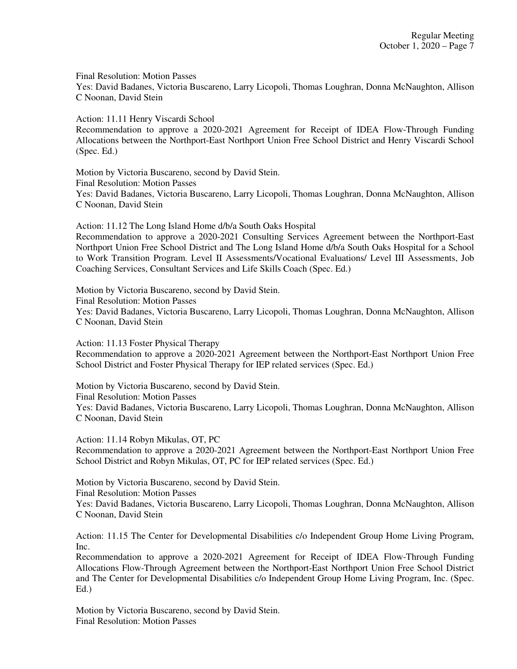Final Resolution: Motion Passes

Yes: David Badanes, Victoria Buscareno, Larry Licopoli, Thomas Loughran, Donna McNaughton, Allison C Noonan, David Stein

Action: 11.11 Henry Viscardi School

Recommendation to approve a 2020-2021 Agreement for Receipt of IDEA Flow-Through Funding Allocations between the Northport-East Northport Union Free School District and Henry Viscardi School (Spec. Ed.)

Motion by Victoria Buscareno, second by David Stein. Final Resolution: Motion Passes Yes: David Badanes, Victoria Buscareno, Larry Licopoli, Thomas Loughran, Donna McNaughton, Allison C Noonan, David Stein

Action: 11.12 The Long Island Home d/b/a South Oaks Hospital Recommendation to approve a 2020-2021 Consulting Services Agreement between the Northport-East Northport Union Free School District and The Long Island Home d/b/a South Oaks Hospital for a School to Work Transition Program. Level II Assessments/Vocational Evaluations/ Level III Assessments, Job Coaching Services, Consultant Services and Life Skills Coach (Spec. Ed.)

Motion by Victoria Buscareno, second by David Stein. Final Resolution: Motion Passes Yes: David Badanes, Victoria Buscareno, Larry Licopoli, Thomas Loughran, Donna McNaughton, Allison C Noonan, David Stein

Action: 11.13 Foster Physical Therapy Recommendation to approve a 2020-2021 Agreement between the Northport-East Northport Union Free School District and Foster Physical Therapy for IEP related services (Spec. Ed.)

Motion by Victoria Buscareno, second by David Stein. Final Resolution: Motion Passes Yes: David Badanes, Victoria Buscareno, Larry Licopoli, Thomas Loughran, Donna McNaughton, Allison C Noonan, David Stein

Action: 11.14 Robyn Mikulas, OT, PC Recommendation to approve a 2020-2021 Agreement between the Northport-East Northport Union Free School District and Robyn Mikulas, OT, PC for IEP related services (Spec. Ed.)

Motion by Victoria Buscareno, second by David Stein. Final Resolution: Motion Passes Yes: David Badanes, Victoria Buscareno, Larry Licopoli, Thomas Loughran, Donna McNaughton, Allison C Noonan, David Stein

Action: 11.15 The Center for Developmental Disabilities c/o Independent Group Home Living Program, Inc.

Recommendation to approve a 2020-2021 Agreement for Receipt of IDEA Flow-Through Funding Allocations Flow-Through Agreement between the Northport-East Northport Union Free School District and The Center for Developmental Disabilities c/o Independent Group Home Living Program, Inc. (Spec. Ed.)

Motion by Victoria Buscareno, second by David Stein. Final Resolution: Motion Passes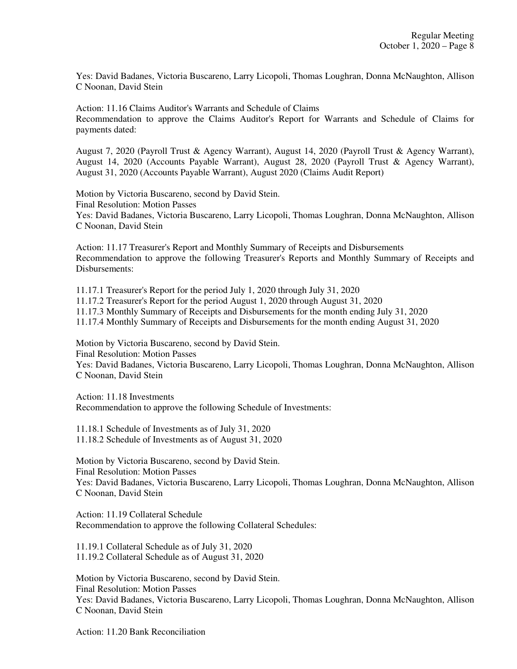Yes: David Badanes, Victoria Buscareno, Larry Licopoli, Thomas Loughran, Donna McNaughton, Allison C Noonan, David Stein

Action: 11.16 Claims Auditor's Warrants and Schedule of Claims Recommendation to approve the Claims Auditor's Report for Warrants and Schedule of Claims for payments dated:

August 7, 2020 (Payroll Trust & Agency Warrant), August 14, 2020 (Payroll Trust & Agency Warrant), August 14, 2020 (Accounts Payable Warrant), August 28, 2020 (Payroll Trust & Agency Warrant), August 31, 2020 (Accounts Payable Warrant), August 2020 (Claims Audit Report)

Motion by Victoria Buscareno, second by David Stein. Final Resolution: Motion Passes Yes: David Badanes, Victoria Buscareno, Larry Licopoli, Thomas Loughran, Donna McNaughton, Allison C Noonan, David Stein

Action: 11.17 Treasurer's Report and Monthly Summary of Receipts and Disbursements Recommendation to approve the following Treasurer's Reports and Monthly Summary of Receipts and Disbursements:

11.17.1 Treasurer's Report for the period July 1, 2020 through July 31, 2020

11.17.2 Treasurer's Report for the period August 1, 2020 through August 31, 2020

11.17.3 Monthly Summary of Receipts and Disbursements for the month ending July 31, 2020

11.17.4 Monthly Summary of Receipts and Disbursements for the month ending August 31, 2020

Motion by Victoria Buscareno, second by David Stein.

Final Resolution: Motion Passes

Yes: David Badanes, Victoria Buscareno, Larry Licopoli, Thomas Loughran, Donna McNaughton, Allison C Noonan, David Stein

Action: 11.18 Investments Recommendation to approve the following Schedule of Investments:

11.18.1 Schedule of Investments as of July 31, 2020 11.18.2 Schedule of Investments as of August 31, 2020

Motion by Victoria Buscareno, second by David Stein. Final Resolution: Motion Passes Yes: David Badanes, Victoria Buscareno, Larry Licopoli, Thomas Loughran, Donna McNaughton, Allison C Noonan, David Stein

Action: 11.19 Collateral Schedule Recommendation to approve the following Collateral Schedules:

11.19.1 Collateral Schedule as of July 31, 2020 11.19.2 Collateral Schedule as of August 31, 2020

Motion by Victoria Buscareno, second by David Stein. Final Resolution: Motion Passes Yes: David Badanes, Victoria Buscareno, Larry Licopoli, Thomas Loughran, Donna McNaughton, Allison C Noonan, David Stein

Action: 11.20 Bank Reconciliation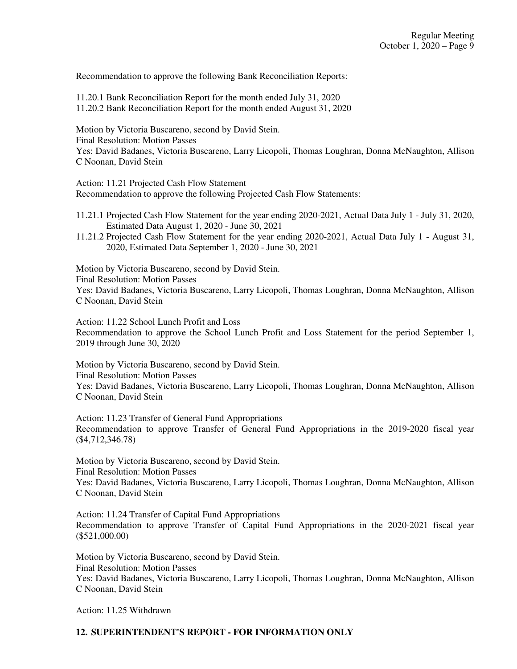Recommendation to approve the following Bank Reconciliation Reports:

11.20.1 Bank Reconciliation Report for the month ended July 31, 2020

11.20.2 Bank Reconciliation Report for the month ended August 31, 2020

Motion by Victoria Buscareno, second by David Stein. Final Resolution: Motion Passes Yes: David Badanes, Victoria Buscareno, Larry Licopoli, Thomas Loughran, Donna McNaughton, Allison C Noonan, David Stein

Action: 11.21 Projected Cash Flow Statement Recommendation to approve the following Projected Cash Flow Statements:

- 11.21.1 Projected Cash Flow Statement for the year ending 2020-2021, Actual Data July 1 July 31, 2020, Estimated Data August 1, 2020 - June 30, 2021
- 11.21.2 Projected Cash Flow Statement for the year ending 2020-2021, Actual Data July 1 August 31, 2020, Estimated Data September 1, 2020 - June 30, 2021

Motion by Victoria Buscareno, second by David Stein.

Final Resolution: Motion Passes

Yes: David Badanes, Victoria Buscareno, Larry Licopoli, Thomas Loughran, Donna McNaughton, Allison C Noonan, David Stein

Action: 11.22 School Lunch Profit and Loss

Recommendation to approve the School Lunch Profit and Loss Statement for the period September 1, 2019 through June 30, 2020

Motion by Victoria Buscareno, second by David Stein. Final Resolution: Motion Passes Yes: David Badanes, Victoria Buscareno, Larry Licopoli, Thomas Loughran, Donna McNaughton, Allison C Noonan, David Stein

Action: 11.23 Transfer of General Fund Appropriations Recommendation to approve Transfer of General Fund Appropriations in the 2019-2020 fiscal year (\$4,712,346.78)

Motion by Victoria Buscareno, second by David Stein. Final Resolution: Motion Passes

Yes: David Badanes, Victoria Buscareno, Larry Licopoli, Thomas Loughran, Donna McNaughton, Allison C Noonan, David Stein

Action: 11.24 Transfer of Capital Fund Appropriations Recommendation to approve Transfer of Capital Fund Appropriations in the 2020-2021 fiscal year (\$521,000.00)

Motion by Victoria Buscareno, second by David Stein. Final Resolution: Motion Passes Yes: David Badanes, Victoria Buscareno, Larry Licopoli, Thomas Loughran, Donna McNaughton, Allison C Noonan, David Stein

Action: 11.25 Withdrawn

## **12. SUPERINTENDENT'S REPORT - FOR INFORMATION ONLY**